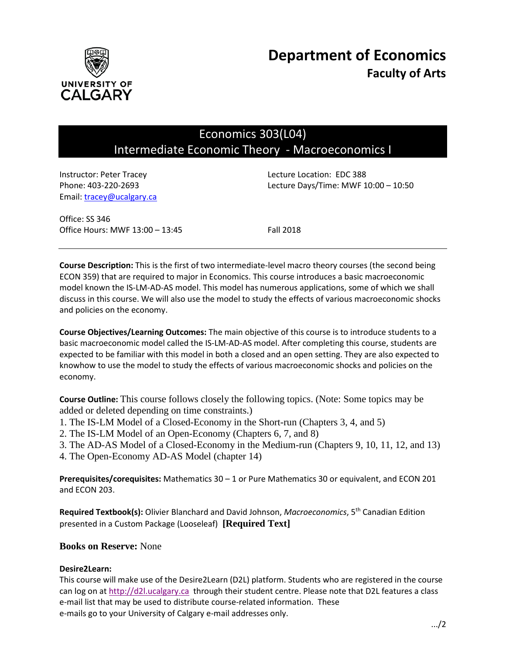

# Economics 303(L04) Intermediate Economic Theory - Macroeconomics I

Email: tracey@ucalgary.ca

Instructor: Peter Tracey Lecture Location: EDC 388 Phone: 403-220-2693 Lecture Days/Time: MWF 10:00 – 10:50

Office: SS 346 Office Hours: MWF 13:00 - 13:45 Fall 2018

**Course Description:** This is the first of two intermediate-level macro theory courses (the second being ECON 359) that are required to major in Economics. This course introduces a basic macroeconomic model known the IS-LM-AD-AS model. This model has numerous applications, some of which we shall discuss in this course. We will also use the model to study the effects of various macroeconomic shocks and policies on the economy.

**Course Objectives/Learning Outcomes:** The main objective of this course is to introduce students to a basic macroeconomic model called the IS-LM-AD-AS model. After completing this course, students are expected to be familiar with this model in both a closed and an open setting. They are also expected to knowhow to use the model to study the effects of various macroeconomic shocks and policies on the economy.

**Course Outline:** This course follows closely the following topics. (Note: Some topics may be added or deleted depending on time constraints.)

- 1. The IS-LM Model of a Closed-Economy in the Short-run (Chapters 3, 4, and 5)
- 2. The IS-LM Model of an Open-Economy (Chapters 6, 7, and 8)
- 3. The AD-AS Model of a Closed-Economy in the Medium-run (Chapters 9, 10, 11, 12, and 13)
- 4. The Open-Economy AD-AS Model (chapter 14)

**Prerequisites/corequisites:** Mathematics 30 – 1 or Pure Mathematics 30 or equivalent, and ECON 201 and ECON 203.

**Required Textbook(s):** Olivier Blanchard and David Johnson, *Macroeconomics*, 5th Canadian Edition presented in a Custom Package (Looseleaf) **[Required Text]**

# **Books on Reserve:** None

## **Desire2Learn:**

This course will make use of the Desire2Learn (D2L) platform. Students who are registered in the course can log on a[t http://d2l.ucalgary.ca](http://d2l.ucalgary.ca/) through their student centre. Please note that D2L features a class e-mail list that may be used to distribute course-related information. These e-mails go to your University of Calgary e-mail addresses only.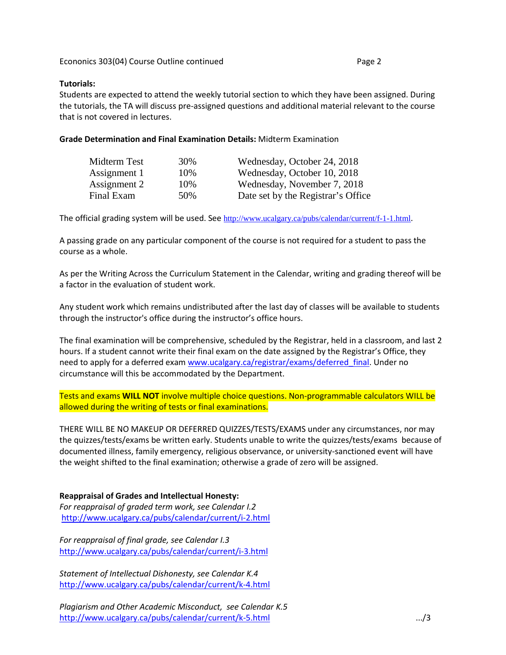## **Tutorials:**

Students are expected to attend the weekly tutorial section to which they have been assigned. During the tutorials, the TA will discuss pre-assigned questions and additional material relevant to the course that is not covered in lectures.

#### **Grade Determination and Final Examination Details:** Midterm Examination

| Midterm Test | 30% | Wednesday, October 24, 2018        |
|--------------|-----|------------------------------------|
| Assignment 1 | 10% | Wednesday, October 10, 2018        |
| Assignment 2 | 10% | Wednesday, November 7, 2018        |
| Final Exam   | 50% | Date set by the Registrar's Office |

The official grading system will be used. See <http://www.ucalgary.ca/pubs/calendar/current/f-1-1.html>.

A passing grade on any particular component of the course is not required for a student to pass the course as a whole.

As per the Writing Across the Curriculum Statement in the Calendar, writing and grading thereof will be a factor in the evaluation of student work.

Any student work which remains undistributed after the last day of classes will be available to students through the instructor's office during the instructor's office hours.

The final examination will be comprehensive, scheduled by the Registrar, held in a classroom, and last 2 hours. If a student cannot write their final exam on the date assigned by the Registrar's Office, they need to apply for a deferred exam [www.ucalgary.ca/registrar/exams/deferred\\_final.](http://www.ucalgary.ca/registrar/exams/deferred_final) Under no circumstance will this be accommodated by the Department.

Tests and exams **WILL NOT** involve multiple choice questions. Non-programmable calculators WILL be allowed during the writing of tests or final examinations.

THERE WILL BE NO MAKEUP OR DEFERRED QUIZZES/TESTS/EXAMS under any circumstances, nor may the quizzes/tests/exams be written early. Students unable to write the quizzes/tests/exams because of documented illness, family emergency, religious observance, or university-sanctioned event will have the weight shifted to the final examination; otherwise a grade of zero will be assigned.

## **Reappraisal of Grades and Intellectual Honesty:**

*For reappraisal of graded term work, see Calendar I.2* <http://www.ucalgary.ca/pubs/calendar/current/i-2.html>

*For reappraisal of final grade, see Calendar I.3* <http://www.ucalgary.ca/pubs/calendar/current/i-3.html>

*Statement of Intellectual Dishonesty, see Calendar K.4* <http://www.ucalgary.ca/pubs/calendar/current/k-4.html>

*Plagiarism and Other Academic Misconduct, see Calendar K.5* <http://www.ucalgary.ca/pubs/calendar/current/k-5.html> .../3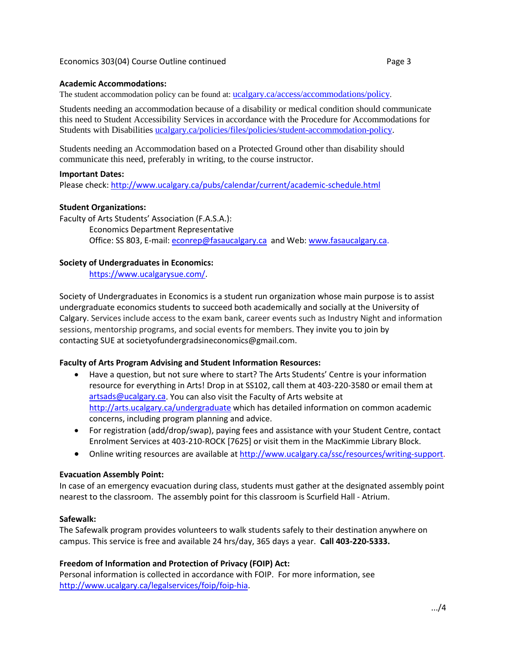#### **Academic Accommodations:**

The student accommodation policy can be found at: [ucalgary.ca/access/accommodations/policy.](http://www.ucalgary.ca/access/accommodations/policy)

Students needing an accommodation because of a disability or medical condition should communicate this need to Student Accessibility Services in accordance with the Procedure for Accommodations for Students with Disabilities [ucalgary.ca/policies/files/policies/student-accommodation-policy.](http://www.ucalgary.ca/policies/files/policies/student-accommodation-policy.pdf)

Students needing an Accommodation based on a Protected Ground other than disability should communicate this need, preferably in writing, to the course instructor.

#### **Important Dates:**

Please check:<http://www.ucalgary.ca/pubs/calendar/current/academic-schedule.html>

#### **Student Organizations:**

Faculty of Arts Students' Association (F.A.S.A.): Economics Department Representative Office: SS 803, E-mail: [econrep@fasaucalgary.ca](mailto:econrep@fasaucalgary.ca) and Web[: www.fasaucalgary.ca.](http://www.fasaucalgary.ca/)

## **Society of Undergraduates in Economics:**

[https://www.ucalgarysue.com/.](https://www.ucalgarysue.com/)

Society of Undergraduates in Economics is a student run organization whose main purpose is to assist undergraduate economics students to succeed both academically and socially at the University of Calgary. Services include access to the exam bank, career events such as Industry Night and information sessions, mentorship programs, and social events for members. They invite you to join by contacting SUE at societyofundergradsineconomics@gmail.com.

## **Faculty of Arts Program Advising and Student Information Resources:**

- Have a question, but not sure where to start? The Arts Students' Centre is your information resource for everything in Arts! Drop in at SS102, call them at 403-220-3580 or email them at [artsads@ucalgary.ca.](mailto:artsads@ucalgary.ca) You can also visit the Faculty of Arts website at <http://arts.ucalgary.ca/undergraduate> which has detailed information on common academic concerns, including program planning and advice.
- For registration (add/drop/swap), paying fees and assistance with your Student Centre, contact Enrolment Services at 403-210-ROCK [7625] or visit them in the MacKimmie Library Block.
- Online writing resources are available at [http://www.ucalgary.ca/ssc/resources/writing-support.](http://www.ucalgary.ca/ssc/resources/writing-support)

#### **Evacuation Assembly Point:**

In case of an emergency evacuation during class, students must gather at the designated assembly point nearest to the classroom. The assembly point for this classroom is Scurfield Hall - Atrium.

## **Safewalk:**

The Safewalk program provides volunteers to walk students safely to their destination anywhere on campus. This service is free and available 24 hrs/day, 365 days a year. **Call 403-220-5333.**

## **Freedom of Information and Protection of Privacy (FOIP) Act:**

Personal information is collected in accordance with FOIP. For more information, see [http://www.ucalgary.ca/legalservices/foip/foip-hia.](http://www.ucalgary.ca/legalservices/foip/foip-hia)